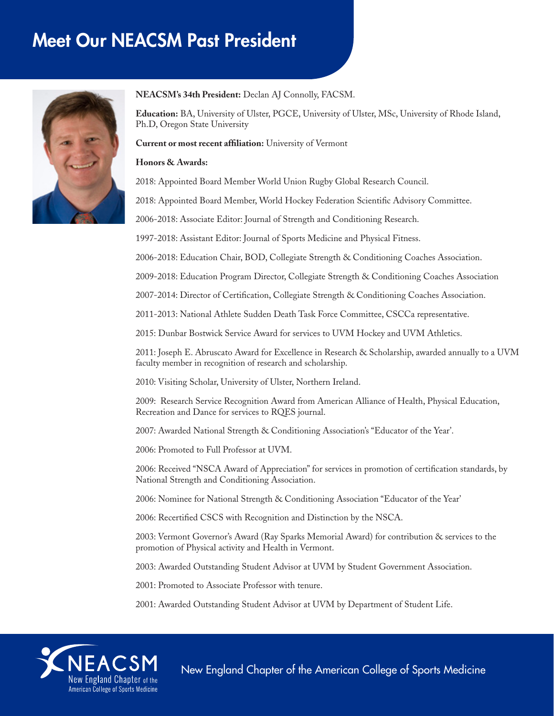# Meet Our NEACSM Past President



#### **NEACSM's 34th President:** Declan AJ Connolly, FACSM.

**Education:** BA, University of Ulster, PGCE, University of Ulster, MSc, University of Rhode Island, Ph.D, Oregon State University

#### **Current or most recent affiliation:** University of Vermont

#### **Honors & Awards:**

2018: Appointed Board Member World Union Rugby Global Research Council.

2018: Appointed Board Member, World Hockey Federation Scientific Advisory Committee.

2006-2018: Associate Editor: Journal of Strength and Conditioning Research.

1997-2018: Assistant Editor: Journal of Sports Medicine and Physical Fitness.

2006-2018: Education Chair, BOD, Collegiate Strength & Conditioning Coaches Association.

2009-2018: Education Program Director, Collegiate Strength & Conditioning Coaches Association

2007-2014: Director of Certification, Collegiate Strength & Conditioning Coaches Association.

2011-2013: National Athlete Sudden Death Task Force Committee, CSCCa representative.

2015: Dunbar Bostwick Service Award for services to UVM Hockey and UVM Athletics.

2011: Joseph E. Abruscato Award for Excellence in Research & Scholarship, awarded annually to a UVM faculty member in recognition of research and scholarship.

2010: Visiting Scholar, University of Ulster, Northern Ireland.

2009: Research Service Recognition Award from American Alliance of Health, Physical Education, Recreation and Dance for services to RQES journal.

2007: Awarded National Strength & Conditioning Association's "Educator of the Year'.

2006: Promoted to Full Professor at UVM.

2006: Received "NSCA Award of Appreciation" for services in promotion of certification standards, by National Strength and Conditioning Association.

2006: Nominee for National Strength & Conditioning Association "Educator of the Year'

2006: Recertified CSCS with Recognition and Distinction by the NSCA.

2003: Vermont Governor's Award (Ray Sparks Memorial Award) for contribution & services to the promotion of Physical activity and Health in Vermont.

2003: Awarded Outstanding Student Advisor at UVM by Student Government Association.

2001: Promoted to Associate Professor with tenure.

2001: Awarded Outstanding Student Advisor at UVM by Department of Student Life.



New England Chapter of the American College of Sports Medicine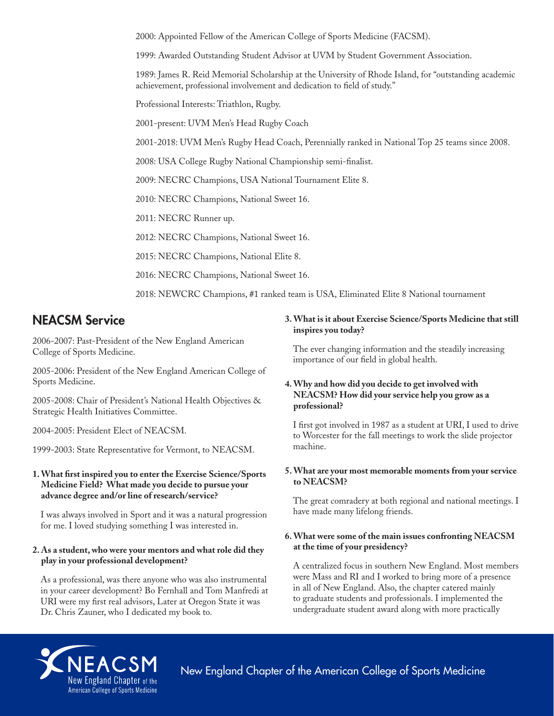2000: Appointed Fellow of the American College of Sports Medicine (FACSM).

1999: Awarded Outstanding Student Advisor at UVM by Student Government Association.

1989: James R. Reid Memorial Scholarship at the University of Rhode Island, for "outstanding academic achievement, professional involvement and dedication to field of study."

Professional Interests: Triathlon, Rugby.

2001-present: UVM Men's Head Rugby Coach

2001-2018: UVM Men's Rugby Head Coach, Perennially ranked in National Top 25 teams since 2008.

2008: USA College Rugby National Championship semi-finalist.

2009: NECRC Champions, USA National Tournament Elite 8.

2010: NECRC Champions, National Sweet 16.

2011: NECRC Runner up.

2012: NECRC Champions, National Sweet 16.

2015: NECRC Champions, National Elite 8.

2016: NECRC Champions, National Sweet 16.

2018: NEWCRC Champions, #1 ranked team is USA, Eliminated Elite 8 National tournament

## NEACSM Service

2006-2007: Past-President of the New England American College of Sports Medicine.

2005-2006: President of the New England American College of Sports Medicine.

2005-2008: Chair of President's National Health Objectives & Strategic Health Initiatives Committee.

2004-2005: President Elect of NEACSM.

1999-2003: State Representative for Vermont, to NEACSM.

#### **1. What first inspired you to enter the Exercise Science/Sports Medicine Field? What made you decide to pursue your advance degree and/or line of research/service?**

I was always involved in Sport and it was a natural progression for me. I loved studying something I was interested in.

#### **2. As a student, who were your mentors and what role did they play in your professional development?**

As a professional, was there anyone who was also instrumental in your career development? Bo Fernhall and Tom Manfredi at URI were my first real advisors, Later at Oregon State it was Dr. Chris Zauner, who I dedicated my book to.

#### **3. What is it about Exercise Science/Sports Medicine that still inspires you today?**

The ever changing information and the steadily increasing importance of our field in global health.

#### **4. Why and how did you decide to get involved with NEACSM? How did your service help you grow as a professional?**

I first got involved in 1987 as a student at URI, I used to drive to Worcester for the fall meetings to work the slide projector machine.

#### **5. What are your most memorable moments from your service to NEACSM?**

The great comradery at both regional and national meetings. I have made many lifelong friends.

#### **6. What were some of the main issues confronting NEACSM at the time of your presidency?**

A centralized focus in southern New England. Most members were Mass and RI and I worked to bring more of a presence in all of New England. Also, the chapter catered mainly to graduate students and professionals. I implemented the undergraduate student award along with more practically



New England Chapter of the American College of Sports Medicine